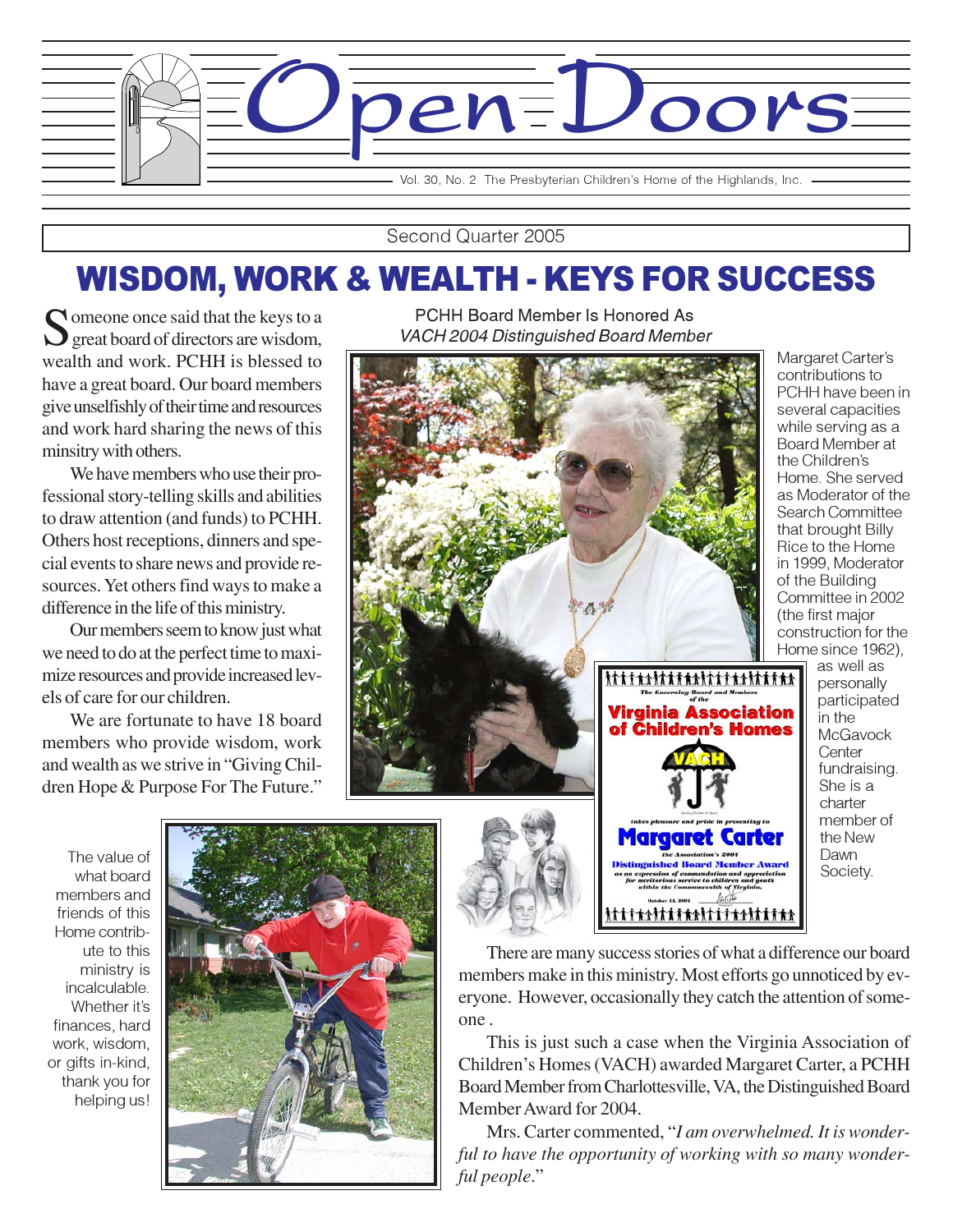

Second Quarter 2005

# WISDOM, WORK & WEALTH - KEYS FOR SUCCESS

 $\bigcap$  omeone once said that the keys to a great board of directors are wisdom, wealth and work. PCHH is blessed to have a great board. Our board members give unselfishly of their time and resources and work hard sharing the news of this minsitry with others.

We have members who use their professional story-telling skills and abilities to draw attention (and funds) to PCHH. Others host receptions, dinners and special events to share news and provide resources. Yet others find ways to make a difference in the life of this ministry.

Our members seem to know just what we need to do at the perfect time to maximize resources and provide increased levels of care for our children.

We are fortunate to have 18 board members who provide wisdom, work and wealth as we strive in "Giving Children Hope & Purpose For The Future."

PCHH Board Member Is Honored As VACH 2004 Distinguished Board Member



Margaret Carter's contributions to PCHH have been in several capacities while serving as a Board Member at the Children's Home. She served as Moderator of the Search Committee that brought Billy Rice to the Home in 1999, Moderator of the Building Committee in 2002 (the first major construction for the Home since 1962),

The value of what board members and friends of this Home contribute to this ministry is incalculable. Whether it's finances, hard work, wisdom, or gifts in-kind, thank you for helping us!



There are many success stories of what a difference our board members make in this ministry. Most efforts go unnoticed by everyone. However, occasionally they catch the attention of someone .

the Association's 2004<br>Distinguished Board Member Award

This is just such a case when the Virginia Association of Children's Homes (VACH) awarded Margaret Carter, a PCHH Board Member from Charlottesville, VA, the Distinguished Board Member Award for 2004.

Mrs. Carter commented, "*I am overwhelmed. It is wonderful to have the opportunity of working with so many wonderful people*."

as well as personally participated in the **McGavock Center** fundraising. She is a charter member of the New Dawn Society.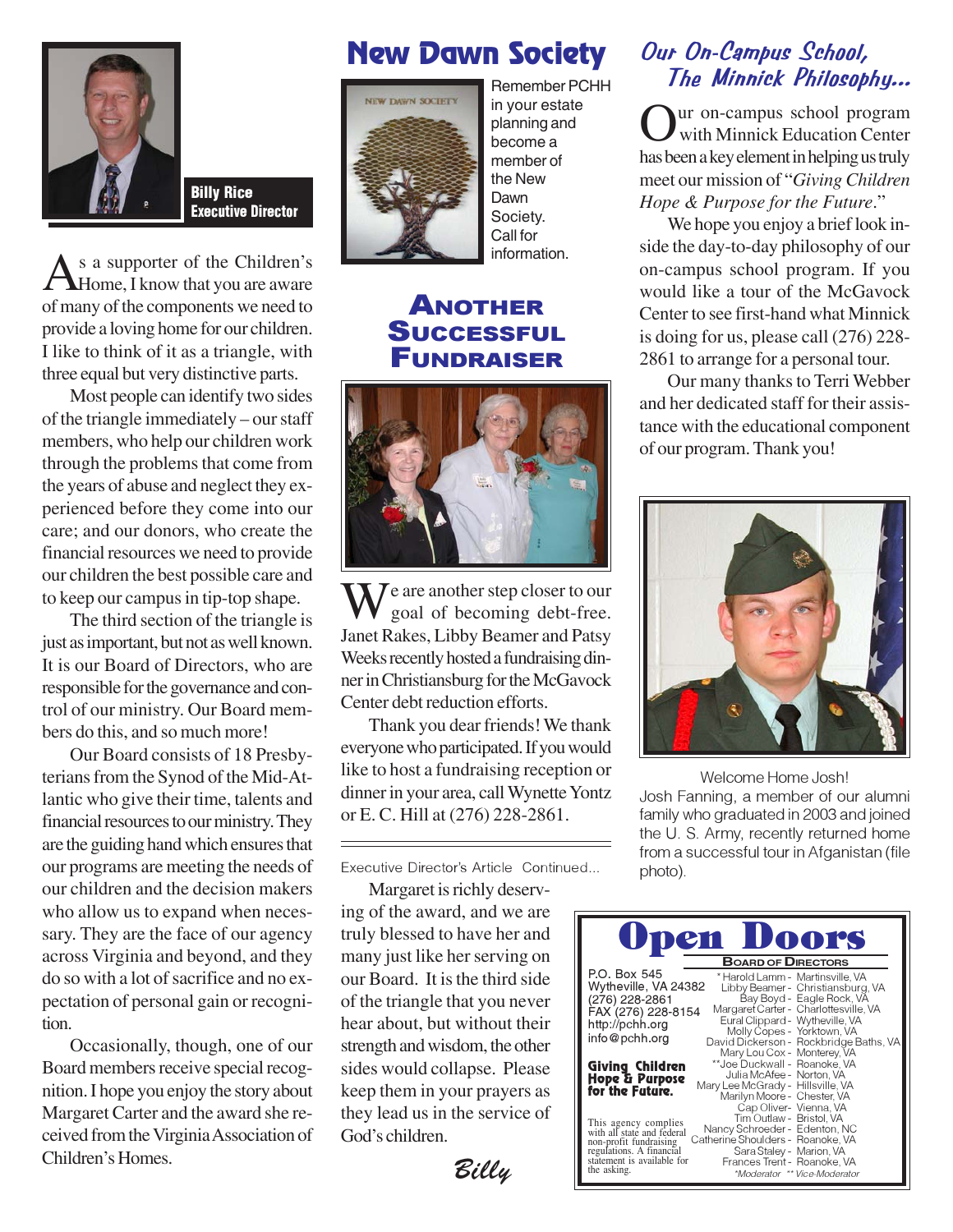

Billy Rice Executive Director

As a supporter of the Children's<br>Home, I know that you are aware of many of the components we need to provide a loving home for our children. I like to think of it as a triangle, with three equal but very distinctive parts.

Most people can identify two sides of the triangle immediately – our staff members, who help our children work through the problems that come from the years of abuse and neglect they experienced before they come into our care; and our donors, who create the financial resources we need to provide our children the best possible care and to keep our campus in tip-top shape.

The third section of the triangle is just as important, but not as well known. It is our Board of Directors, who are responsible for the governance and control of our ministry. Our Board members do this, and so much more!

Our Board consists of 18 Presbyterians from the Synod of the Mid-Atlantic who give their time, talents and financial resources to our ministry. They are the guiding hand which ensures that our programs are meeting the needs of our children and the decision makers who allow us to expand when necessary. They are the face of our agency across Virginia and beyond, and they do so with a lot of sacrifice and no expectation of personal gain or recognition.

Occasionally, though, one of our Board members receive special recognition. I hope you enjoy the story about Margaret Carter and the award she received from the Virginia Association of Children's Homes.

## New Dawn Society



in your estate planning and become a member of the New Dawn Society. Call for information.

### ANOTHER **SUCCESSFUL** FUNDRAISER



 $\sum$   $\sum$  are another step closer to our goal of becoming debt-free. Janet Rakes, Libby Beamer and Patsy Weeks recently hosted a fundraising dinner in Christiansburg for the McGavock Center debt reduction efforts.

Thank you dear friends! We thank everyone who participated. If you would like to host a fundraising reception or dinner in your area, call Wynette Yontz or E. C. Hill at (276) 228-2861.

Executive Director's Article Continued...

Margaret is richly deserving of the award, and we are truly blessed to have her and many just like her serving on our Board. It is the third side of the triangle that you never hear about, but without their strength and wisdom, the other sides would collapse. Please keep them in your prayers as they lead us in the service of God's children.

Billy

### Our On-Campus School, Remember PCHH The Minnick Philosophy...

ur on-campus school program with Minnick Education Center has been a key element in helping us truly meet our mission of "*Giving Children Hope & Purpose for the Future*."

We hope you enjoy a brief look inside the day-to-day philosophy of our on-campus school program. If you would like a tour of the McGavock Center to see first-hand what Minnick is doing for us, please call (276) 228- 2861 to arrange for a personal tour.

Our many thanks to Terri Webber and her dedicated staff for their assistance with the educational component of our program. Thank you!



Welcome Home Josh! Josh Fanning, a member of our alumni family who graduated in 2003 and joined the U. S. Army, recently returned home from a successful tour in Afganistan (file photo).

| pen Doors                                                                           |
|-------------------------------------------------------------------------------------|
| <b>BOARD OF DIRECTORS</b>                                                           |
| P.O. Box 545<br>* Harold Lamm - Martinsville, VA                                    |
| Wytheville, VA 24382<br>Libby Beamer - Christiansburg, VA                           |
| Bay Boyd - Eagle Rock, VA<br>(276) 228-2861                                         |
| Margaret Carter - Charlottesville, VA<br>FAX (276) 228-8154                         |
| Eural Clippard - Wytheville, VA<br>http://pchh.org                                  |
| Molly Copes - Yorktown, VA<br>info@pchh.org                                         |
| David Dickerson - Rockbridge Baths, VA                                              |
| Mary Lou Cox - Monterey, VA                                                         |
| **Joe Duckwall - Roanoke, VA<br>Giving Children                                     |
| Julia McAfee - Norton, VA<br>Hope & Parpose                                         |
| Mary Lee McGrady - Hillsville, VA<br>for the Future.<br>Marilyn Moore - Chester, VA |
| Cap Oliver- Vienna, VA                                                              |
| Tim Outlaw - Bristol, VA                                                            |
| This agency complies<br>with all state and federal<br>Nancy Schroeder - Edenton, NC |
| Catherine Shoulders - Roanoke, VA<br>non-profit fundraising                         |
| Sara Staley - Marion, VA<br>regulations. A financial                                |
| statement is available for<br>Frances Trent - Roanoke, VA                           |
| the asking.<br>*Moderator ** Vice-Moderator                                         |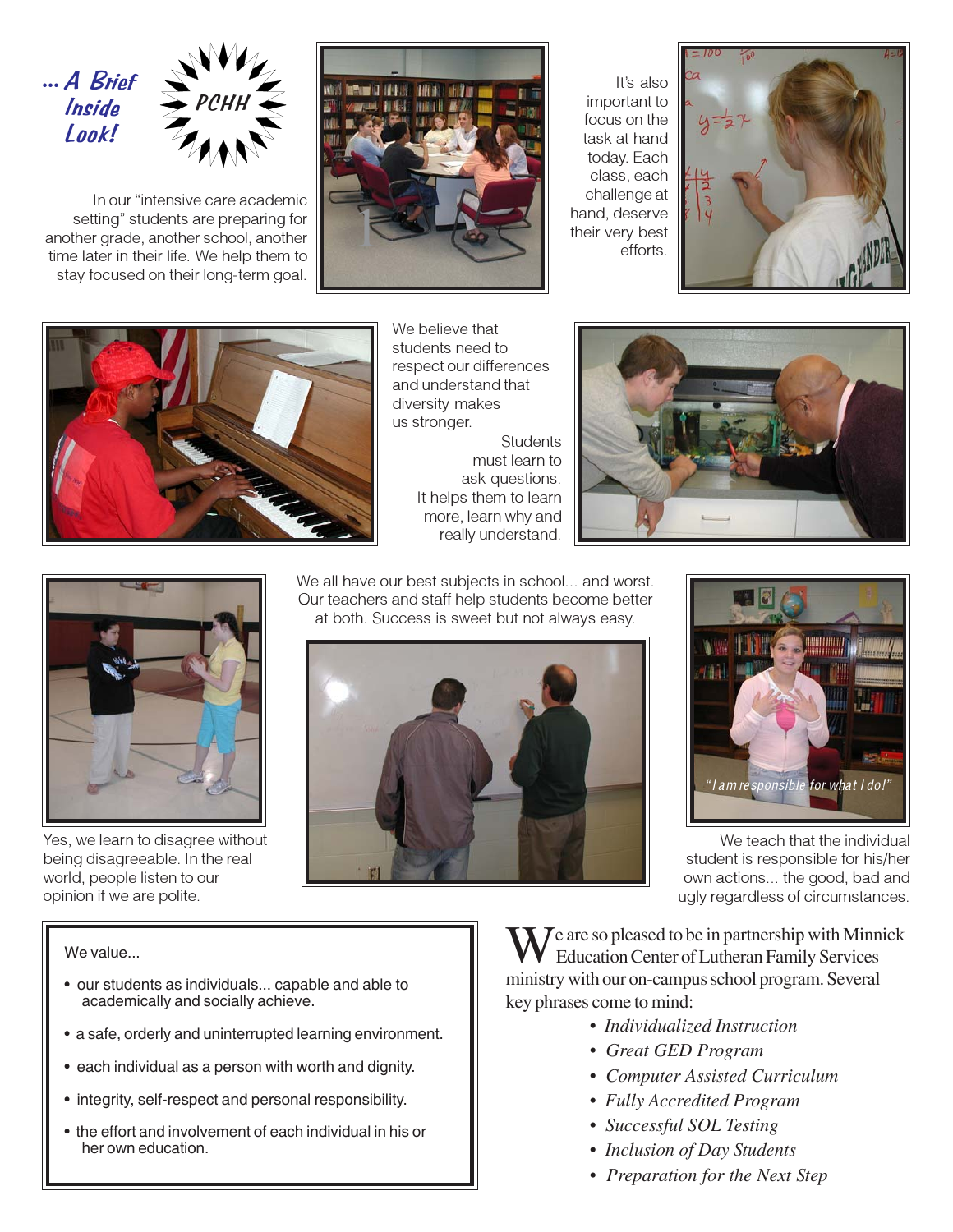

In our "intensive care academic setting" students are preparing for another grade, another school, another time later in their life. We help them to stay focused on their long-term goal.



It's also important to focus on the task at hand today. Each class, each challenge at hand, deserve their very best efforts.





We believe that students need to respect our differences and understand that diversity makes us stronger. **Students** must learn to

ask questions. It helps them to learn more, learn why and really understand.





Yes, we learn to disagree without being disagreeable. In the real world, people listen to our opinion if we are polite.

We all have our best subjects in school... and worst. Our teachers and staff help students become better at both. Success is sweet but not always easy.





We teach that the individual student is responsible for his/her own actions... the good, bad and ugly regardless of circumstances.

#### We value...

- our students as individuals... capable and able to academically and socially achieve.
- a safe, orderly and uninterrupted learning environment.
- each individual as a person with worth and dignity.
- integrity, self-respect and personal responsibility.
- the effort and involvement of each individual in his or her own education.

 $\sum$   $\sum$   $\sum$  are so pleased to be in partnership with Minnick Education Center of Lutheran Family Services ministry with our on-campus school program. Several key phrases come to mind:

- *Individualized Instruction*
- *Great GED Program*
- *Computer Assisted Curriculum*
- *Fully Accredited Program*
- *Successful SOL Testing*
- *Inclusion of Day Students*
- *Preparation for the Next Step*